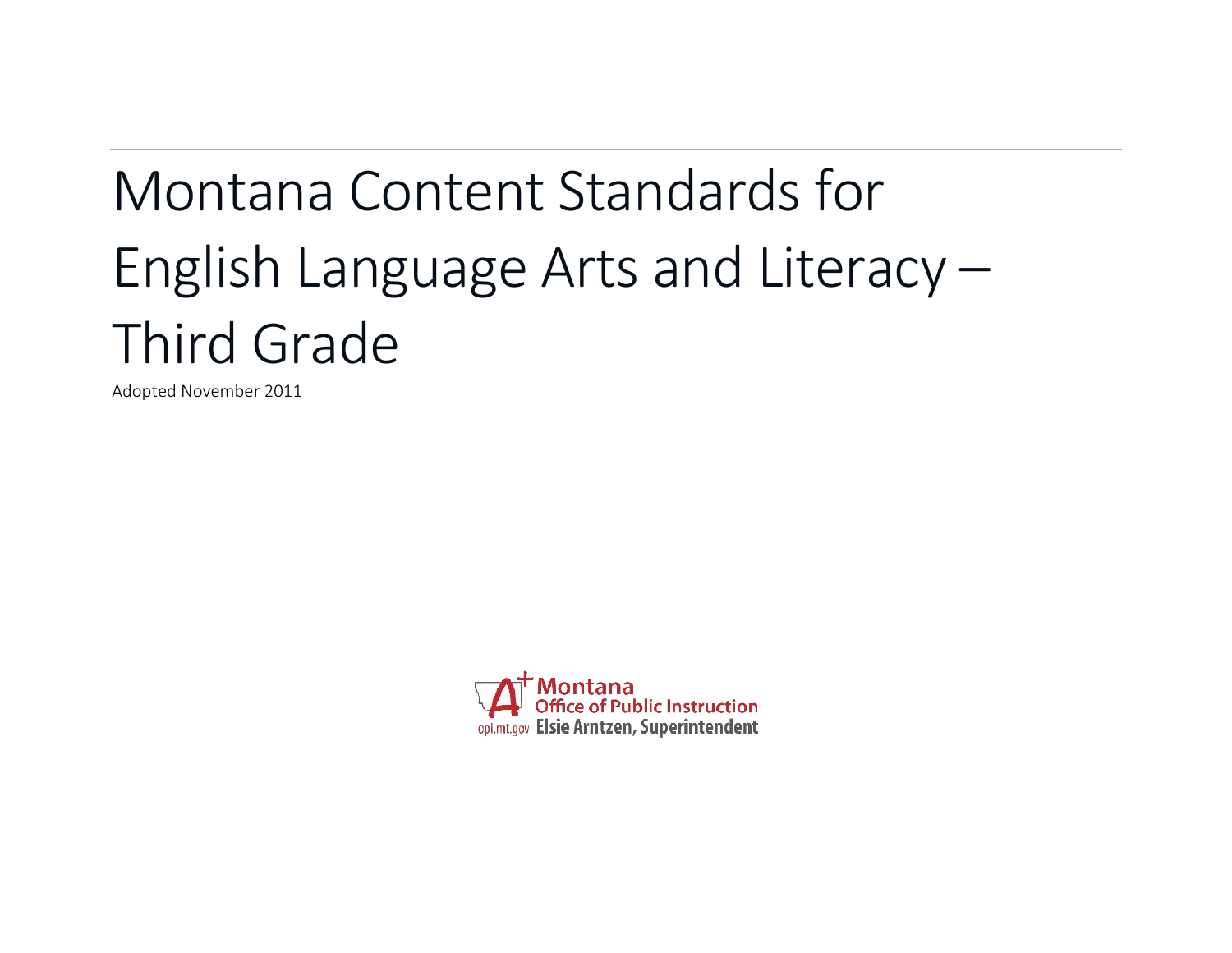# Montana Content Standards for English Language Arts and Literacy – Third Grade

Adopted November 2011

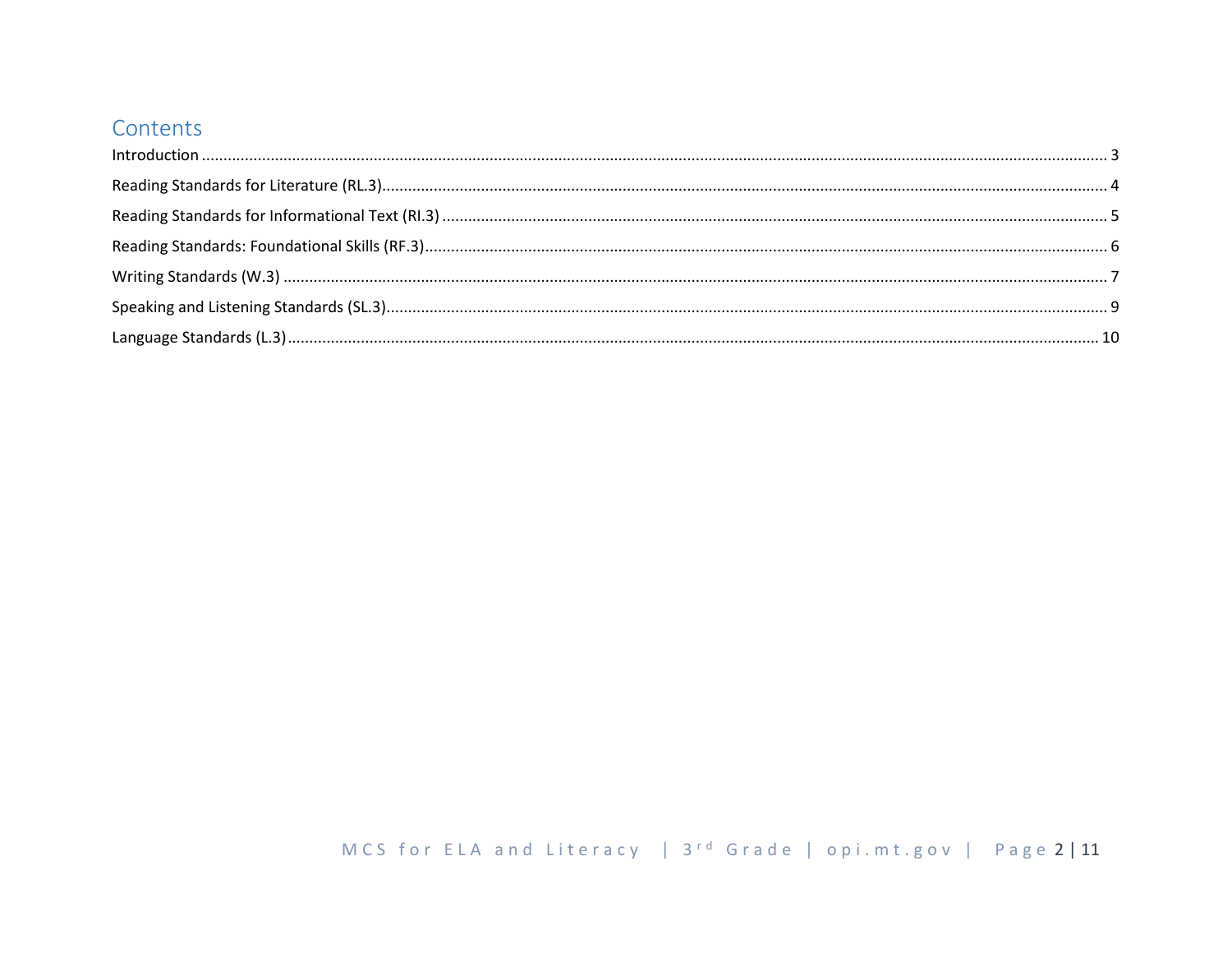# Contents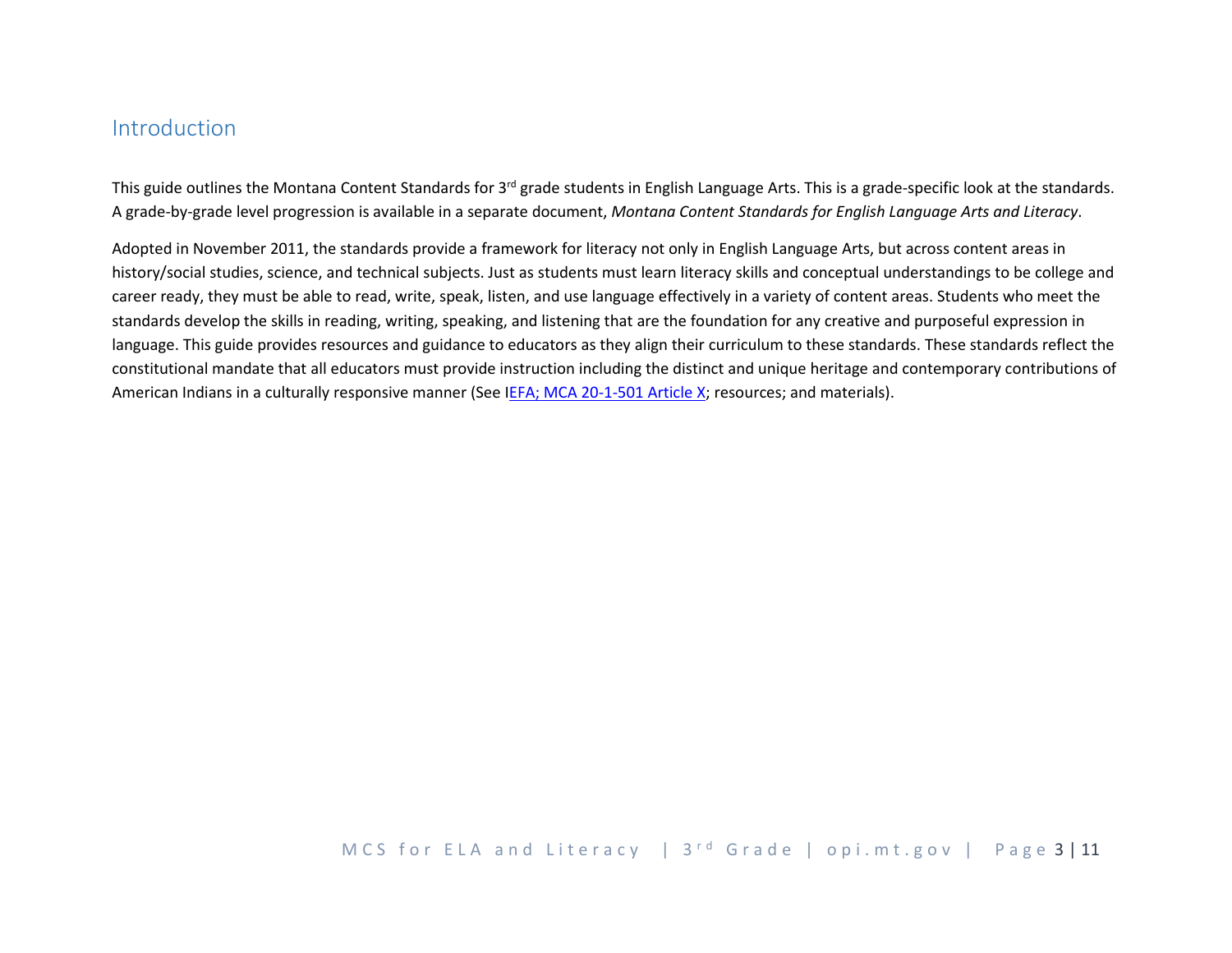# <span id="page-2-0"></span>Introduction

This guide outlines the Montana Content Standards for 3<sup>rd</sup> grade students in English Language Arts. This is a grade-specific look at the standards. A grade-by-grade level progression is available in a separate document, *Montana Content Standards for English Language Arts and Literacy*.

Adopted in November 2011, the standards provide a framework for literacy not only in English Language Arts, but across content areas in history/social studies, science, and technical subjects. Just as students must learn literacy skills and conceptual understandings to be college and career ready, they must be able to read, write, speak, listen, and use language effectively in a variety of content areas. Students who meet the standards develop the skills in reading, writing, speaking, and listening that are the foundation for any creative and purposeful expression in language. This guide provides resources and guidance to educators as they align their curriculum to these standards. These standards reflect the constitutional mandate that all educators must provide instruction including the distinct and unique heritage and contemporary contributions of American Indians in a culturally responsive manner (See [IEFA; MCA 20-1-501 Article](http://www.opi.mt.gov/PDF/IndianEd/Resources/ArticleX_IEFA.pdf) X; resources; and materials).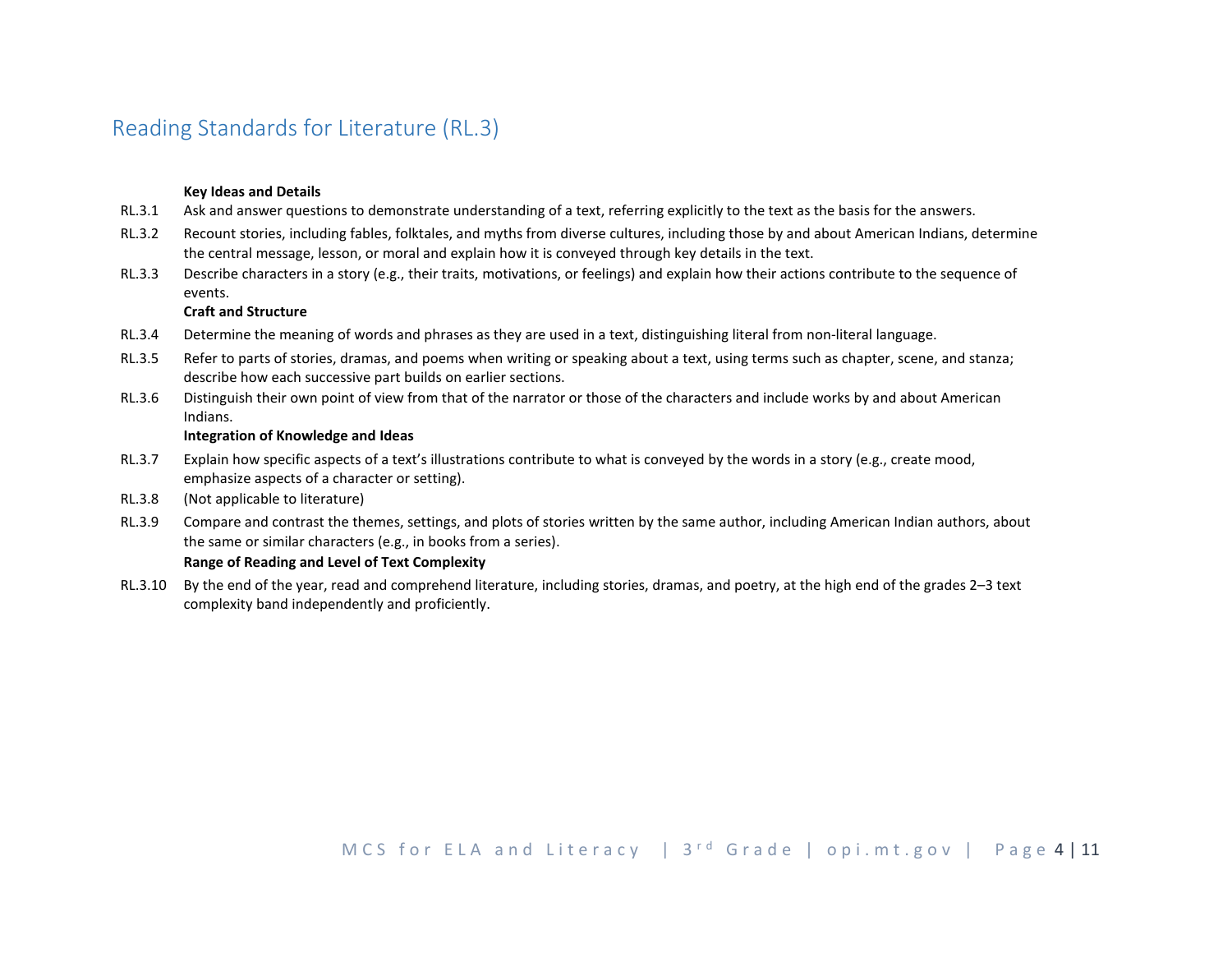# <span id="page-3-0"></span>Reading Standards for Literature (RL.3)

## **Key Ideas and Details**

- RL.3.1 Ask and answer questions to demonstrate understanding of a text, referring explicitly to the text as the basis for the answers.
- RL.3.2 Recount stories, including fables, folktales, and myths from diverse cultures, including those by and about American Indians, determine the central message, lesson, or moral and explain how it is conveyed through key details in the text.
- RL.3.3 Describe characters in a story (e.g., their traits, motivations, or feelings) and explain how their actions contribute to the sequence of events.

## **Craft and Structure**

- RL.3.4 Determine the meaning of words and phrases as they are used in a text, distinguishing literal from non-literal language.
- RL.3.5 Refer to parts of stories, dramas, and poems when writing or speaking about a text, using terms such as chapter, scene, and stanza; describe how each successive part builds on earlier sections.
- RL.3.6 Distinguish their own point of view from that of the narrator or those of the characters and include works by and about American Indians.

#### **Integration of Knowledge and Ideas**

- RL.3.7 Explain how specific aspects of a text's illustrations contribute to what is conveyed by the words in a story (e.g., create mood, emphasize aspects of a character or setting).
- RL.3.8 (Not applicable to literature)
- RL.3.9 Compare and contrast the themes, settings, and plots of stories written by the same author, including American Indian authors, about the same or similar characters (e.g., in books from a series).

#### **Range of Reading and Level of Text Complexity**

RL.3.10 By the end of the year, read and comprehend literature, including stories, dramas, and poetry, at the high end of the grades 2–3 text complexity band independently and proficiently.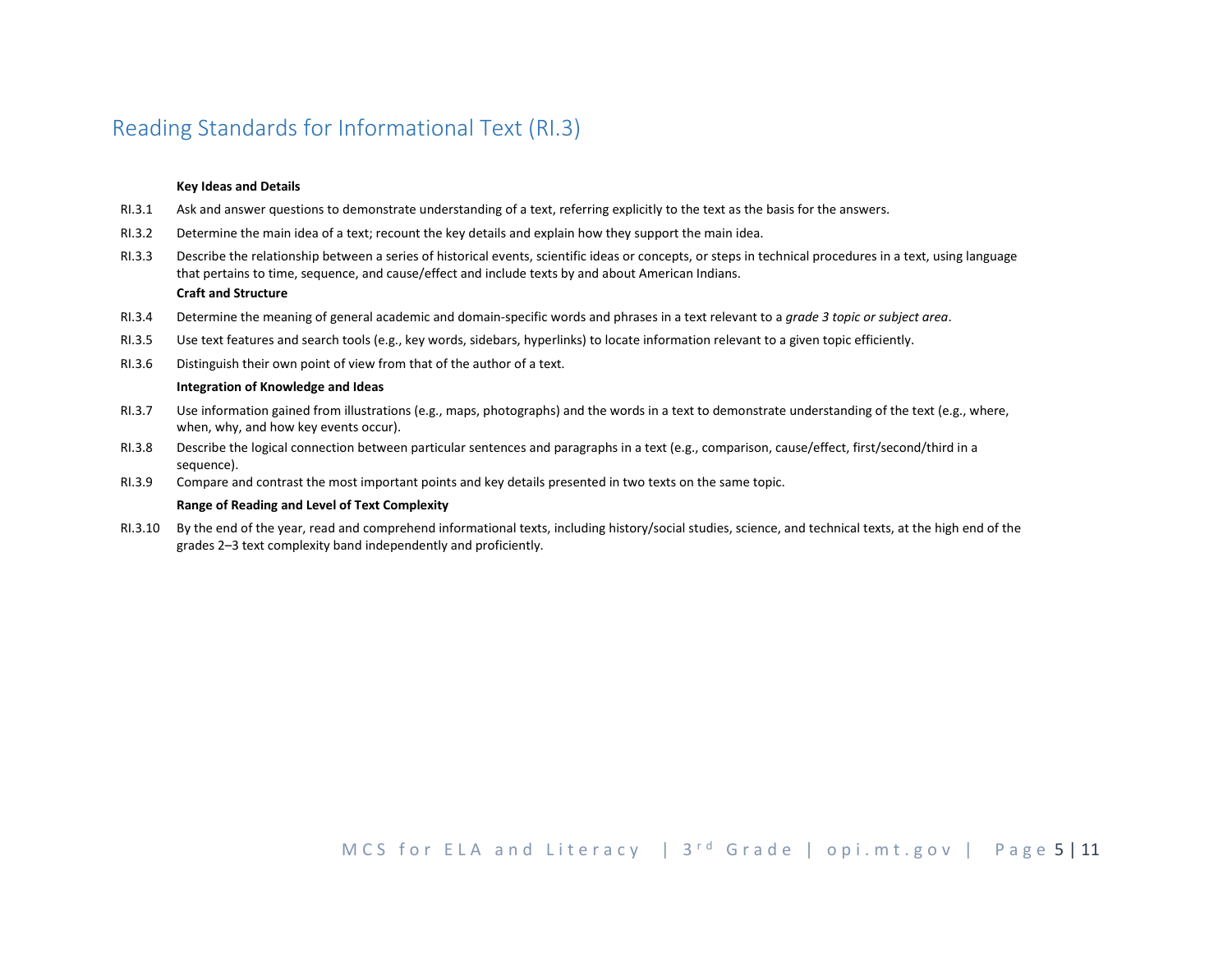# <span id="page-4-0"></span>Reading Standards for Informational Text (RI.3)

#### **Key Ideas and Details**

- RI.3.1 Ask and answer questions to demonstrate understanding of a text, referring explicitly to the text as the basis for the answers.
- RI.3.2 Determine the main idea of a text; recount the key details and explain how they support the main idea.
- RI.3.3 Describe the relationship between a series of historical events, scientific ideas or concepts, or steps in technical procedures in a text, using language that pertains to time, sequence, and cause/effect and include texts by and about American Indians.

### **Craft and Structure**

- RI.3.4 Determine the meaning of general academic and domain-specific words and phrases in a text relevant to a *grade 3 topic or subject area*.
- RI.3.5 Use text features and search tools (e.g., key words, sidebars, hyperlinks) to locate information relevant to a given topic efficiently.
- RI.3.6 Distinguish their own point of view from that of the author of a text.

#### **Integration of Knowledge and Ideas**

- RI.3.7 Use information gained from illustrations (e.g., maps, photographs) and the words in a text to demonstrate understanding of the text (e.g., where, when, why, and how key events occur).
- RI.3.8 Describe the logical connection between particular sentences and paragraphs in a text (e.g., comparison, cause/effect, first/second/third in a sequence).
- RI.3.9 Compare and contrast the most important points and key details presented in two texts on the same topic.

#### **Range of Reading and Level of Text Complexity**

RI.3.10 By the end of the year, read and comprehend informational texts, including history/social studies, science, and technical texts, at the high end of the grades 2–3 text complexity band independently and proficiently.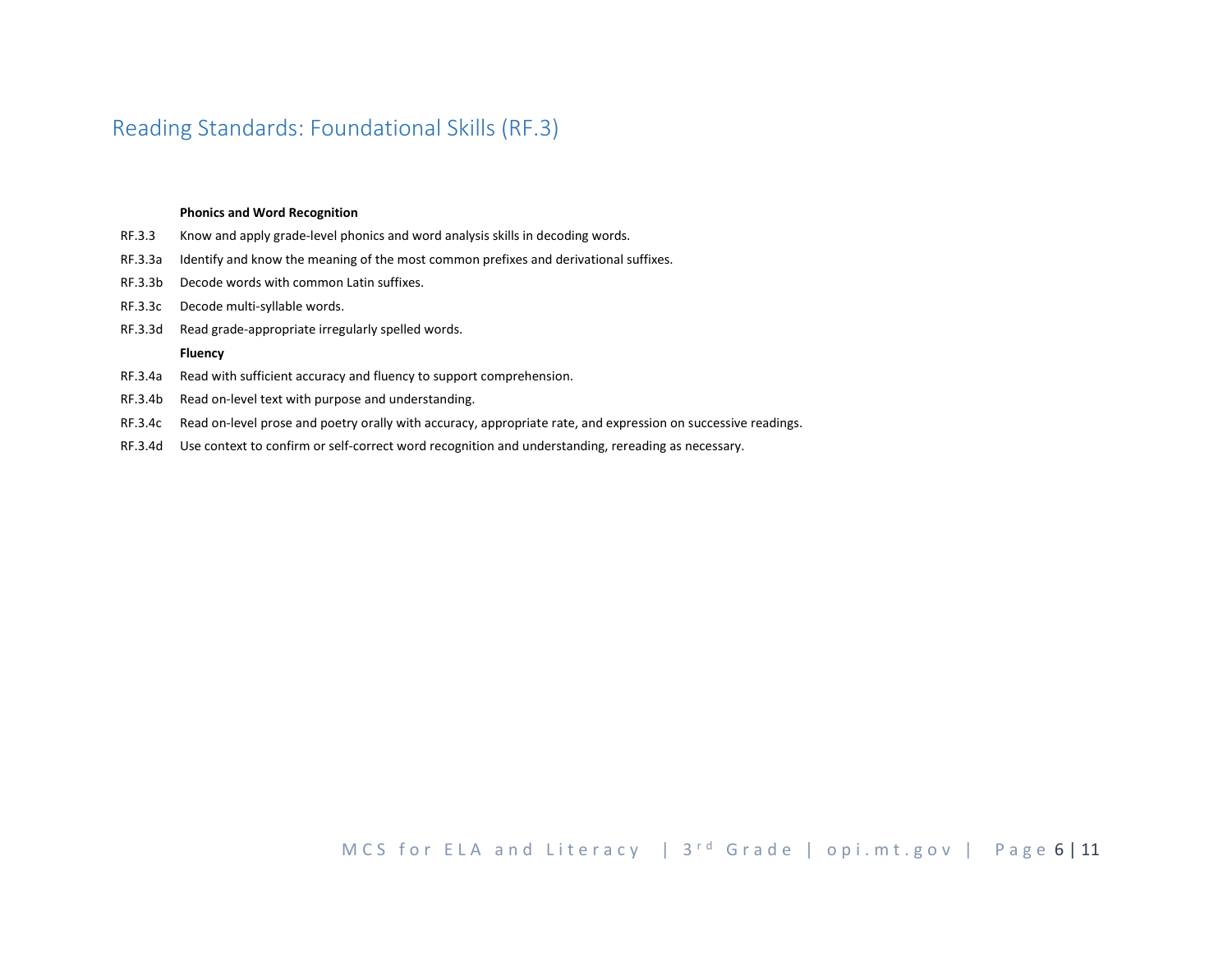# <span id="page-5-0"></span>Reading Standards: Foundational Skills (RF.3)

#### **Phonics and Word Recognition**

- RF.3.3 Know and apply grade-level phonics and word analysis skills in decoding words.
- RF.3.3a Identify and know the meaning of the most common prefixes and derivational suffixes.
- RF.3.3b Decode words with common Latin suffixes.
- RF.3.3c Decode multi-syllable words.
- RF.3.3d Read grade-appropriate irregularly spelled words.

#### **Fluency**

- RF.3.4a Read with sufficient accuracy and fluency to support comprehension.
- RF.3.4b Read on-level text with purpose and understanding.
- RF.3.4c Read on-level prose and poetry orally with accuracy, appropriate rate, and expression on successive readings.
- RF.3.4d Use context to confirm or self-correct word recognition and understanding, rereading as necessary.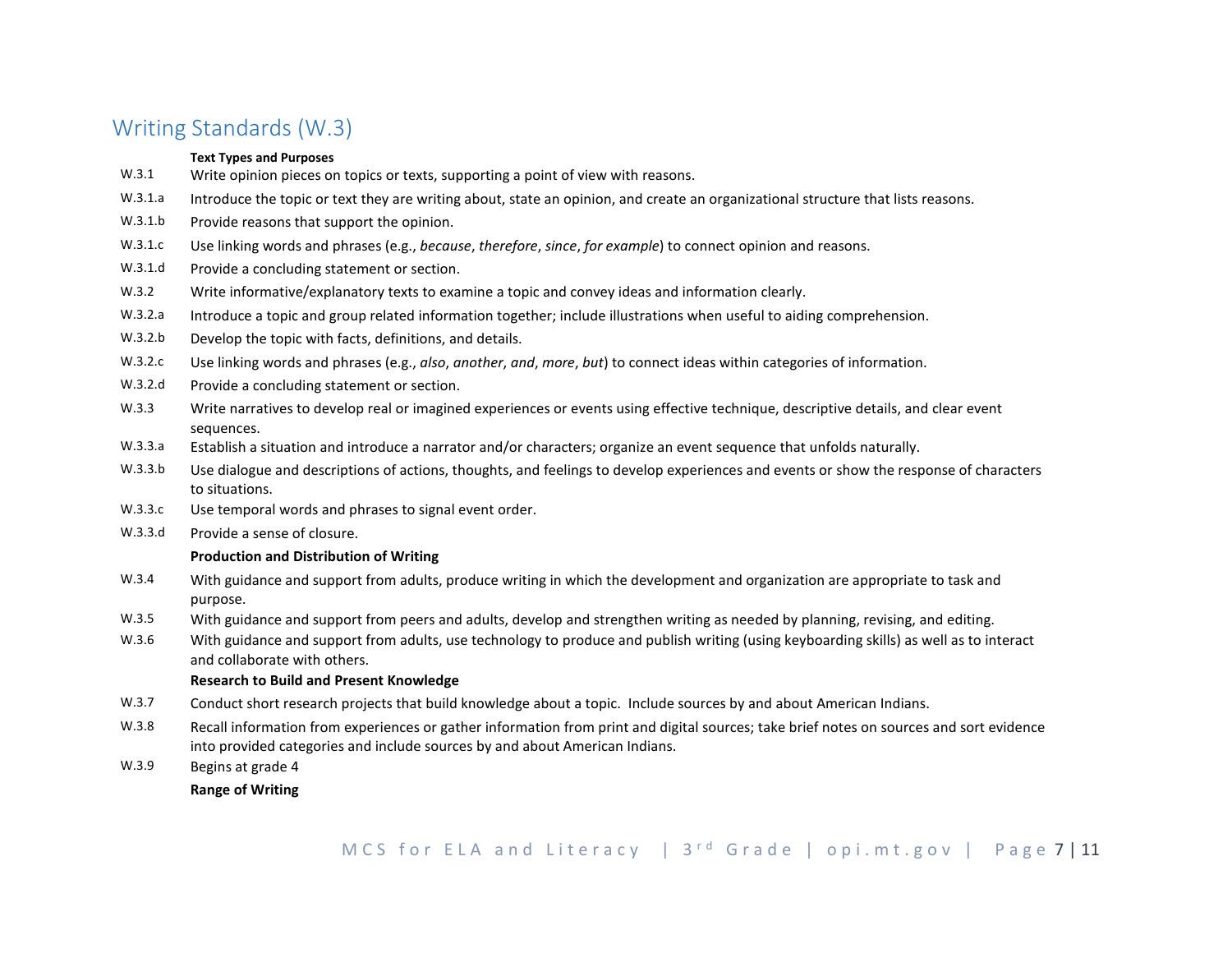# <span id="page-6-0"></span>Writing Standards (W.3)

## **Text Types and Purposes**

- W.3.1 Write opinion pieces on topics or texts, supporting a point of view with reasons.
- W.3.1.a Introduce the topic or text they are writing about, state an opinion, and create an organizational structure that lists reasons.
- W.3.1.b Provide reasons that support the opinion.
- W.3.1.c Use linking words and phrases (e.g., *because*, *therefore*, *since*, *for example*) to connect opinion and reasons.
- W.3.1.d Provide a concluding statement or section.
- W.3.2 Write informative/explanatory texts to examine a topic and convey ideas and information clearly.
- W.3.2.a Introduce a topic and group related information together; include illustrations when useful to aiding comprehension.
- W.3.2.b Develop the topic with facts, definitions, and details.
- W.3.2.c Use linking words and phrases (e.g., *also*, *another*, *and*, *more*, *but*) to connect ideas within categories of information.
- W.3.2.d Provide a concluding statement or section.
- W.3.3 Write narratives to develop real or imagined experiences or events using effective technique, descriptive details, and clear event sequences.
- W.3.3.a Establish a situation and introduce a narrator and/or characters; organize an event sequence that unfolds naturally.
- W.3.3.b Use dialogue and descriptions of actions, thoughts, and feelings to develop experiences and events or show the response of characters to situations.
- W.3.3.c Use temporal words and phrases to signal event order.
- W.3.3.d Provide a sense of closure.

## **Production and Distribution of Writing**

- W.3.4 With guidance and support from adults, produce writing in which the development and organization are appropriate to task and purpose.
- W.3.5 With guidance and support from peers and adults, develop and strengthen writing as needed by planning, revising, and editing.
- W.3.6 With guidance and support from adults, use technology to produce and publish writing (using keyboarding skills) as well as to interact and collaborate with others.

## **Research to Build and Present Knowledge**

- W.3.7 Conduct short research projects that build knowledge about a topic. Include sources by and about American Indians.
- W.3.8 Recall information from experiences or gather information from print and digital sources; take brief notes on sources and sort evidence into provided categories and include sources by and about American Indians.
- W.3.9 Begins at grade 4

**Range of Writing**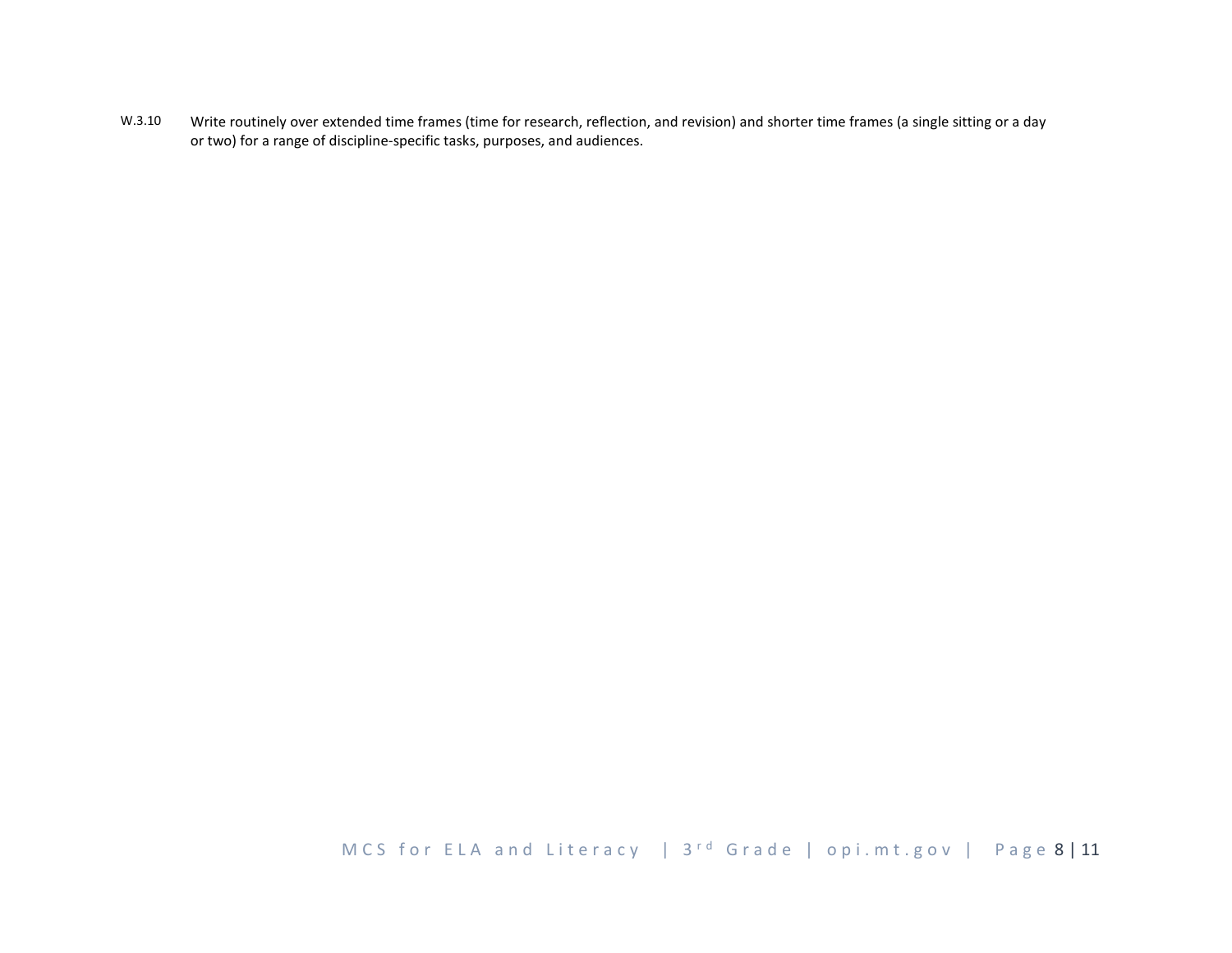W.3.10 Write routinely over extended time frames (time for research, reflection, and revision) and shorter time frames (a single sitting or a day or two) for a range of discipline-specific tasks, purposes, and audiences.

MCS for ELA and Literacy | 3<sup>rd</sup> Grade | opi.mt.gov | Page 8 | 11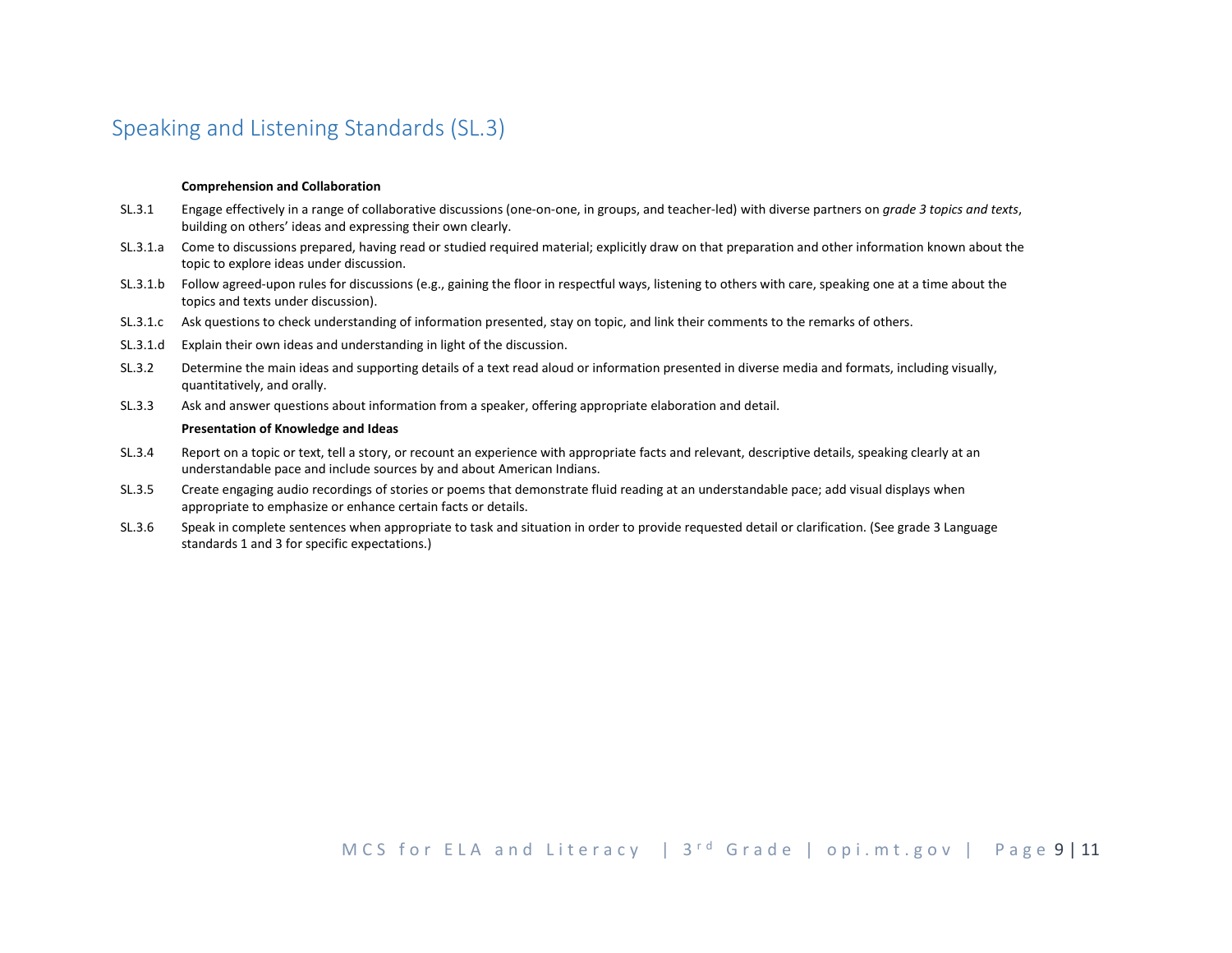# <span id="page-8-0"></span>Speaking and Listening Standards (SL.3)

#### **Comprehension and Collaboration**

- SL.3.1 Engage effectively in a range of collaborative discussions (one-on-one, in groups, and teacher-led) with diverse partners on *grade 3 topics and texts*, building on others' ideas and expressing their own clearly.
- SL.3.1.a Come to discussions prepared, having read or studied required material; explicitly draw on that preparation and other information known about the topic to explore ideas under discussion.
- SL.3.1.b Follow agreed-upon rules for discussions (e.g., gaining the floor in respectful ways, listening to others with care, speaking one at a time about the topics and texts under discussion).
- SL.3.1.c Ask questions to check understanding of information presented, stay on topic, and link their comments to the remarks of others.
- SL.3.1.d Explain their own ideas and understanding in light of the discussion.
- SL.3.2 Determine the main ideas and supporting details of a text read aloud or information presented in diverse media and formats, including visually, quantitatively, and orally.
- SL.3.3 Ask and answer questions about information from a speaker, offering appropriate elaboration and detail.

#### **Presentation of Knowledge and Ideas**

- SL.3.4 Report on a topic or text, tell a story, or recount an experience with appropriate facts and relevant, descriptive details, speaking clearly at an understandable pace and include sources by and about American Indians.
- SL.3.5 Create engaging audio recordings of stories or poems that demonstrate fluid reading at an understandable pace; add visual displays when appropriate to emphasize or enhance certain facts or details.
- SL.3.6 Speak in complete sentences when appropriate to task and situation in order to provide requested detail or clarification. (See grade 3 Language standards 1 and 3 for specific expectations.)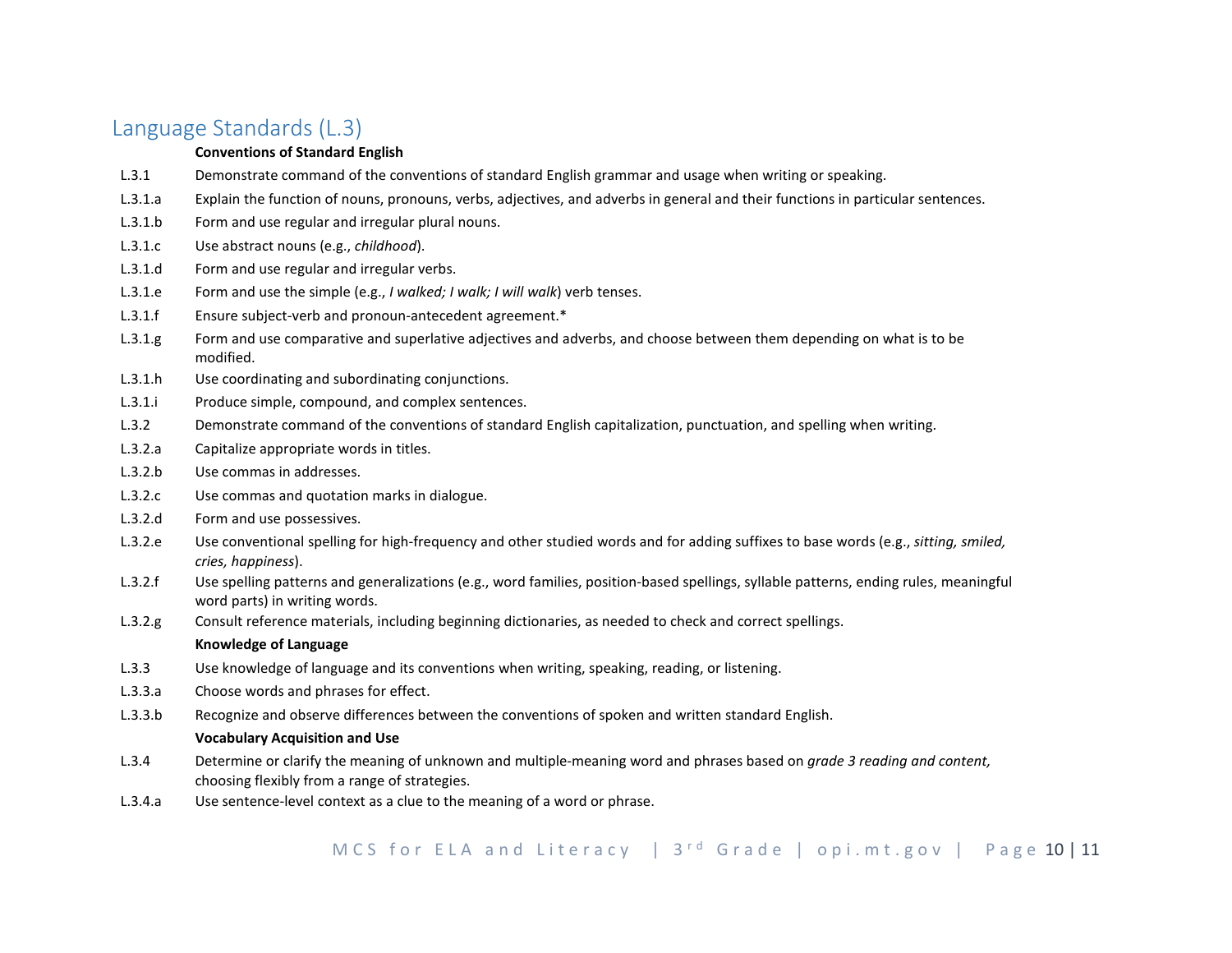# <span id="page-9-0"></span>Language Standards (L.3)

## **Conventions of Standard English**

- L.3.1 Demonstrate command of the conventions of standard English grammar and usage when writing or speaking.
- L.3.1.a Explain the function of nouns, pronouns, verbs, adjectives, and adverbs in general and their functions in particular sentences.
- L.3.1.b Form and use regular and irregular plural nouns.
- L.3.1.c Use abstract nouns (e.g., *childhood*).
- L.3.1.d Form and use regular and irregular verbs.
- L.3.1.e Form and use the simple (e.g., *I walked; I walk; I will walk*) verb tenses.
- L.3.1.f Ensure subject-verb and pronoun-antecedent agreement.\*
- L.3.1.g Form and use comparative and superlative adjectives and adverbs, and choose between them depending on what is to be modified.
- L.3.1.h Use coordinating and subordinating conjunctions.
- L.3.1.i Produce simple, compound, and complex sentences.
- L.3.2 Demonstrate command of the conventions of standard English capitalization, punctuation, and spelling when writing.
- L.3.2.a Capitalize appropriate words in titles.
- L.3.2.b Use commas in addresses.
- L.3.2.c Use commas and quotation marks in dialogue.
- L.3.2.d Form and use possessives.
- L.3.2.e Use conventional spelling for high-frequency and other studied words and for adding suffixes to base words (e.g., *sitting, smiled, cries, happiness*).
- L.3.2.f Use spelling patterns and generalizations (e.g., word families, position-based spellings, syllable patterns, ending rules, meaningful word parts) in writing words.
- L.3.2.g Consult reference materials, including beginning dictionaries, as needed to check and correct spellings.

## **Knowledge of Language**

- L.3.3 Use knowledge of language and its conventions when writing, speaking, reading, or listening.
- L.3.3.a Choose words and phrases for effect.
- L.3.3.b Recognize and observe differences between the conventions of spoken and written standard English.

## **Vocabulary Acquisition and Use**

- L.3.4 Determine or clarify the meaning of unknown and multiple-meaning word and phrases based on *grade 3 reading and content,*  choosing flexibly from a range of strategies.
- L.3.4.a Use sentence-level context as a clue to the meaning of a word or phrase.